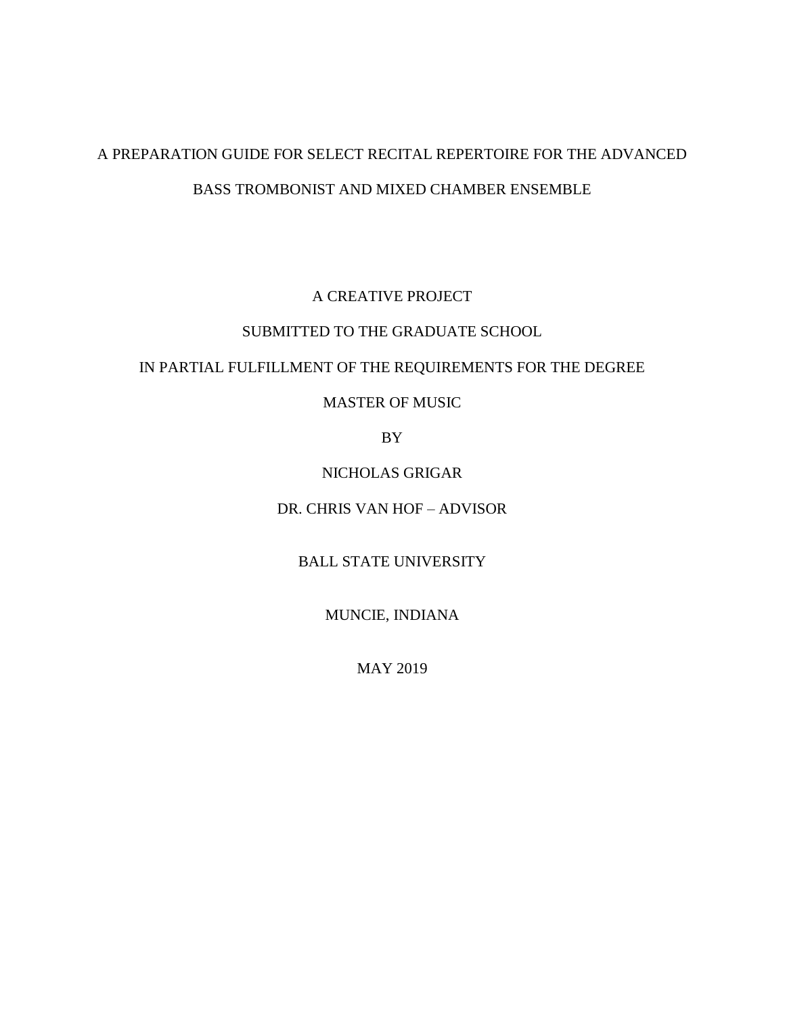# A PREPARATION GUIDE FOR SELECT RECITAL REPERTOIRE FOR THE ADVANCED BASS TROMBONIST AND MIXED CHAMBER ENSEMBLE

## A CREATIVE PROJECT

### SUBMITTED TO THE GRADUATE SCHOOL

### IN PARTIAL FULFILLMENT OF THE REQUIREMENTS FOR THE DEGREE

## MASTER OF MUSIC

BY

NICHOLAS GRIGAR

DR. CHRIS VAN HOF – ADVISOR

BALL STATE UNIVERSITY

MUNCIE, INDIANA

MAY 2019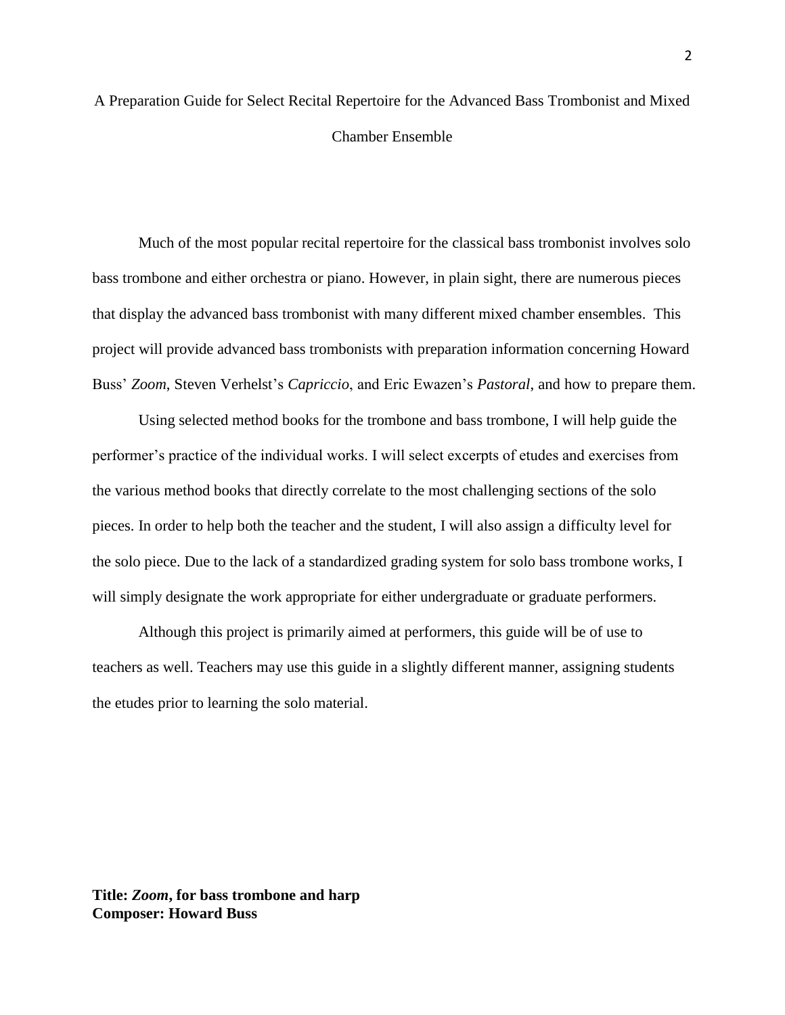## A Preparation Guide for Select Recital Repertoire for the Advanced Bass Trombonist and Mixed Chamber Ensemble

Much of the most popular recital repertoire for the classical bass trombonist involves solo bass trombone and either orchestra or piano. However, in plain sight, there are numerous pieces that display the advanced bass trombonist with many different mixed chamber ensembles. This project will provide advanced bass trombonists with preparation information concerning Howard Buss' *Zoom*, Steven Verhelst's *Capriccio*, and Eric Ewazen's *Pastoral*, and how to prepare them.

Using selected method books for the trombone and bass trombone, I will help guide the performer's practice of the individual works. I will select excerpts of etudes and exercises from the various method books that directly correlate to the most challenging sections of the solo pieces. In order to help both the teacher and the student, I will also assign a difficulty level for the solo piece. Due to the lack of a standardized grading system for solo bass trombone works, I will simply designate the work appropriate for either undergraduate or graduate performers.

Although this project is primarily aimed at performers, this guide will be of use to teachers as well. Teachers may use this guide in a slightly different manner, assigning students the etudes prior to learning the solo material.

**Title:** *Zoom***, for bass trombone and harp Composer: Howard Buss**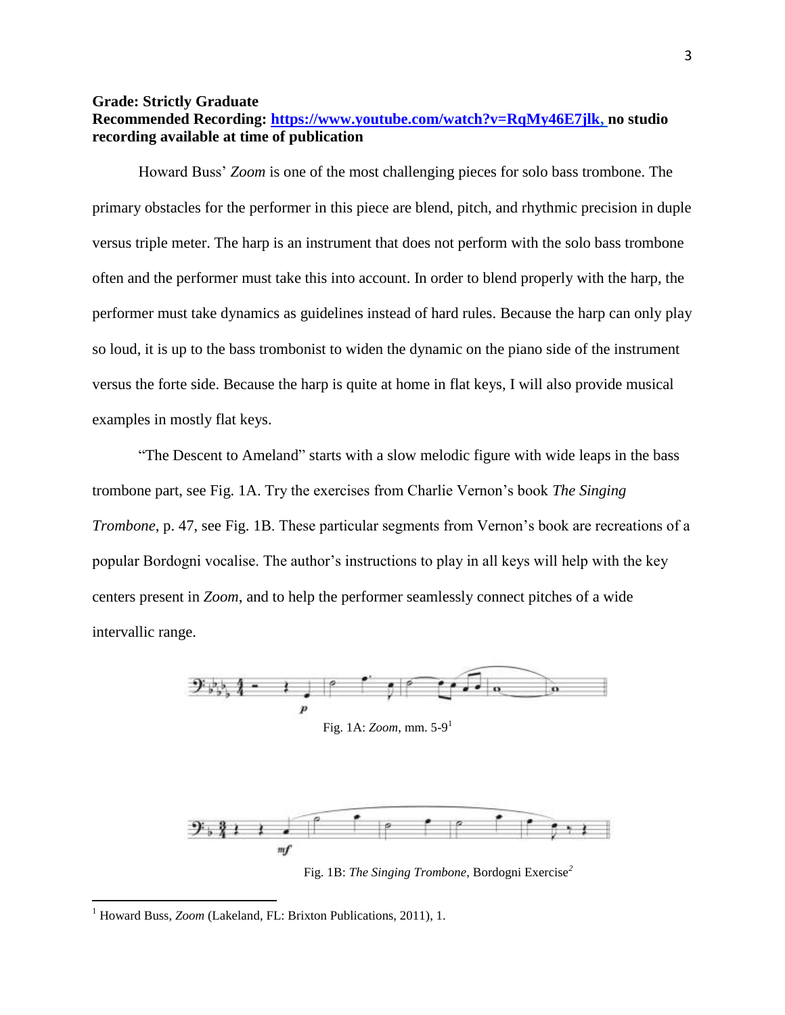#### **Grade: Strictly Graduate**

### **Recommended Recording: [https://www.youtube.com/watch?v=RqMy46E7jlk,](https://www.youtube.com/watch?v=RqMy46E7jlk) no studio recording available at time of publication**

Howard Buss' *Zoom* is one of the most challenging pieces for solo bass trombone. The primary obstacles for the performer in this piece are blend, pitch, and rhythmic precision in duple versus triple meter. The harp is an instrument that does not perform with the solo bass trombone often and the performer must take this into account. In order to blend properly with the harp, the performer must take dynamics as guidelines instead of hard rules. Because the harp can only play so loud, it is up to the bass trombonist to widen the dynamic on the piano side of the instrument versus the forte side. Because the harp is quite at home in flat keys, I will also provide musical examples in mostly flat keys.

"The Descent to Ameland" starts with a slow melodic figure with wide leaps in the bass trombone part, see Fig. 1A. Try the exercises from Charlie Vernon's book *The Singing Trombone*, p. 47, see Fig. 1B. These particular segments from Vernon's book are recreations of a popular Bordogni vocalise. The author's instructions to play in all keys will help with the key centers present in *Zoom*, and to help the performer seamlessly connect pitches of a wide intervallic range.



Fig. 1A: *Zoom*, mm. 5-9 1



Fig. 1B: *The Singing Trombone*, Bordogni Exercise*<sup>2</sup>*

<sup>&</sup>lt;sup>1</sup> Howard Buss, *Zoom* (Lakeland, FL: Brixton Publications, 2011), 1.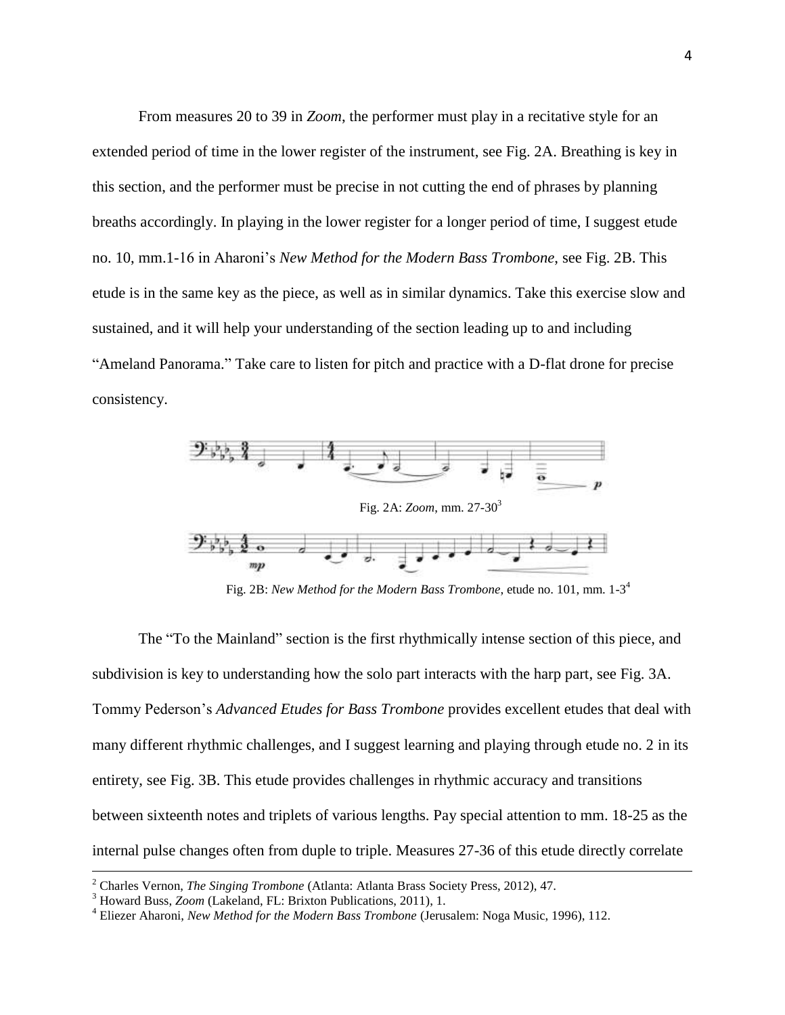From measures 20 to 39 in *Zoom*, the performer must play in a recitative style for an extended period of time in the lower register of the instrument, see Fig. 2A. Breathing is key in this section, and the performer must be precise in not cutting the end of phrases by planning breaths accordingly. In playing in the lower register for a longer period of time, I suggest etude no. 10, mm.1-16 in Aharoni's *New Method for the Modern Bass Trombone*, see Fig. 2B. This etude is in the same key as the piece, as well as in similar dynamics. Take this exercise slow and sustained, and it will help your understanding of the section leading up to and including "Ameland Panorama." Take care to listen for pitch and practice with a D-flat drone for precise consistency.



Fig. 2B: *New Method for the Modern Bass Trombone*, etude no. 101, mm. 1-3 4

The "To the Mainland" section is the first rhythmically intense section of this piece, and subdivision is key to understanding how the solo part interacts with the harp part, see Fig. 3A. Tommy Pederson's *Advanced Etudes for Bass Trombone* provides excellent etudes that deal with many different rhythmic challenges, and I suggest learning and playing through etude no. 2 in its entirety, see Fig. 3B. This etude provides challenges in rhythmic accuracy and transitions between sixteenth notes and triplets of various lengths. Pay special attention to mm. 18-25 as the internal pulse changes often from duple to triple. Measures 27-36 of this etude directly correlate

<sup>2</sup> Charles Vernon, *The Singing Trombone* (Atlanta: Atlanta Brass Society Press, 2012), 47.

<sup>3</sup> Howard Buss, *Zoom* (Lakeland, FL: Brixton Publications, 2011), 1.

<sup>4</sup> Eliezer Aharoni, *New Method for the Modern Bass Trombone* (Jerusalem: Noga Music, 1996), 112.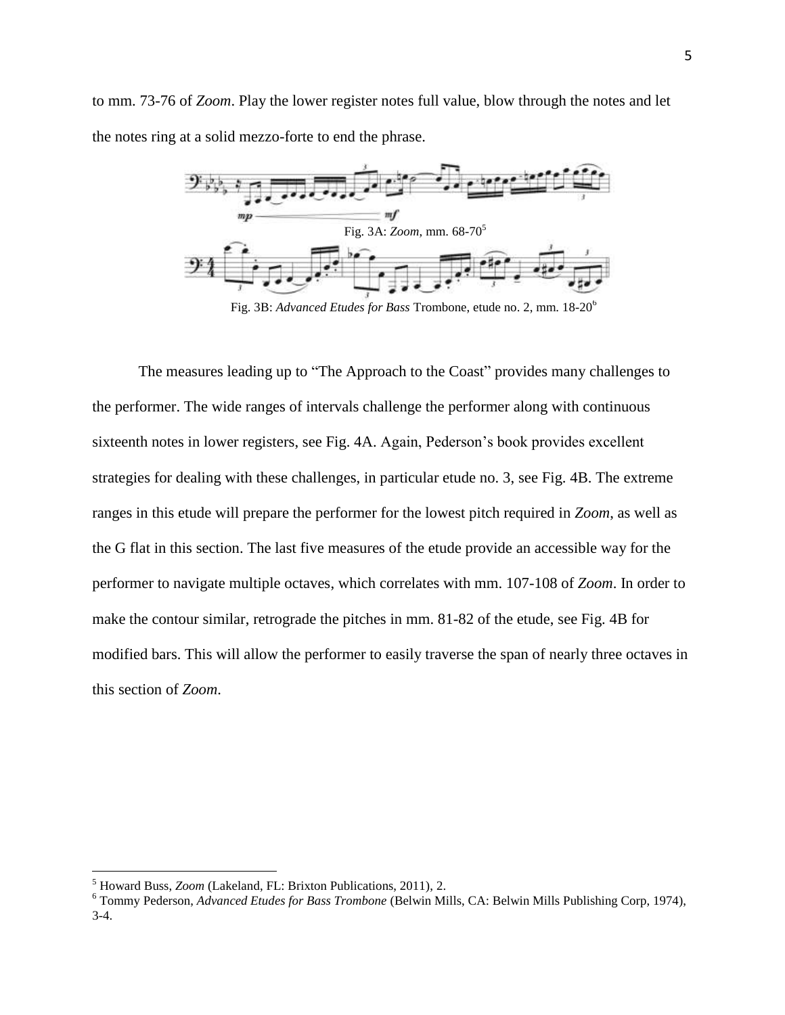to mm. 73-76 of *Zoom*. Play the lower register notes full value, blow through the notes and let the notes ring at a solid mezzo-forte to end the phrase.



Fig. 3B: *Advanced Etudes for Bass* Trombone, etude no. 2, mm. 18-20<sup>6</sup>

The measures leading up to "The Approach to the Coast" provides many challenges to the performer. The wide ranges of intervals challenge the performer along with continuous sixteenth notes in lower registers, see Fig. 4A. Again, Pederson's book provides excellent strategies for dealing with these challenges, in particular etude no. 3, see Fig. 4B. The extreme ranges in this etude will prepare the performer for the lowest pitch required in *Zoom*, as well as the G flat in this section. The last five measures of the etude provide an accessible way for the performer to navigate multiple octaves, which correlates with mm. 107-108 of *Zoom*. In order to make the contour similar, retrograde the pitches in mm. 81-82 of the etude, see Fig. 4B for modified bars. This will allow the performer to easily traverse the span of nearly three octaves in this section of *Zoom*.

<sup>5</sup> Howard Buss, *Zoom* (Lakeland, FL: Brixton Publications, 2011), 2.

<sup>6</sup> Tommy Pederson, *Advanced Etudes for Bass Trombone* (Belwin Mills, CA: Belwin Mills Publishing Corp, 1974), 3-4.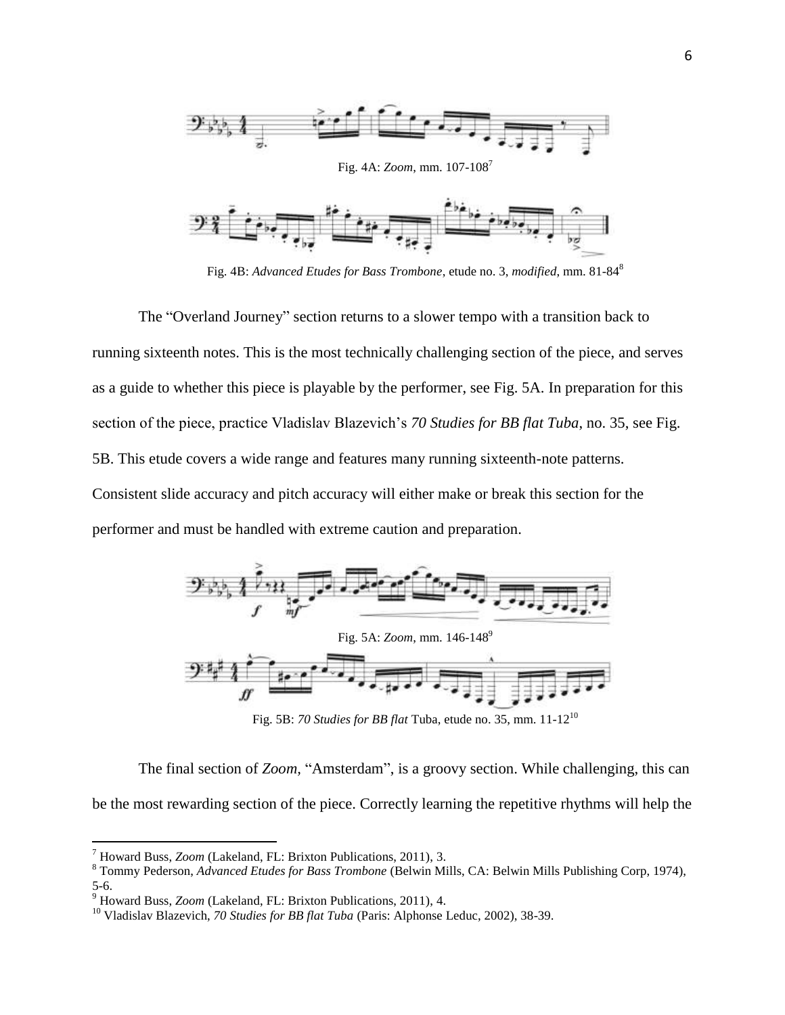

Fig. 4B: *Advanced Etudes for Bass Trombone*, etude no. 3, *modified*, mm. 81-84<sup>8</sup>

The "Overland Journey" section returns to a slower tempo with a transition back to running sixteenth notes. This is the most technically challenging section of the piece, and serves as a guide to whether this piece is playable by the performer, see Fig. 5A. In preparation for this section of the piece, practice Vladislav Blazevich's *70 Studies for BB flat Tuba*, no. 35, see Fig. 5B. This etude covers a wide range and features many running sixteenth-note patterns. Consistent slide accuracy and pitch accuracy will either make or break this section for the performer and must be handled with extreme caution and preparation.



Fig. 5B: *70 Studies for BB flat* Tuba, etude no. 35, mm. 11-12<sup>10</sup>

The final section of *Zoom,* "Amsterdam", is a groovy section. While challenging, this can be the most rewarding section of the piece. Correctly learning the repetitive rhythms will help the

<sup>7</sup> Howard Buss, *Zoom* (Lakeland, FL: Brixton Publications, 2011), 3.

<sup>8</sup> Tommy Pederson, *Advanced Etudes for Bass Trombone* (Belwin Mills, CA: Belwin Mills Publishing Corp, 1974), 5-6.

<sup>9</sup> Howard Buss, *Zoom* (Lakeland, FL: Brixton Publications, 2011), 4.

<sup>10</sup> Vladislav Blazevich, *70 Studies for BB flat Tuba* (Paris: Alphonse Leduc, 2002), 38-39.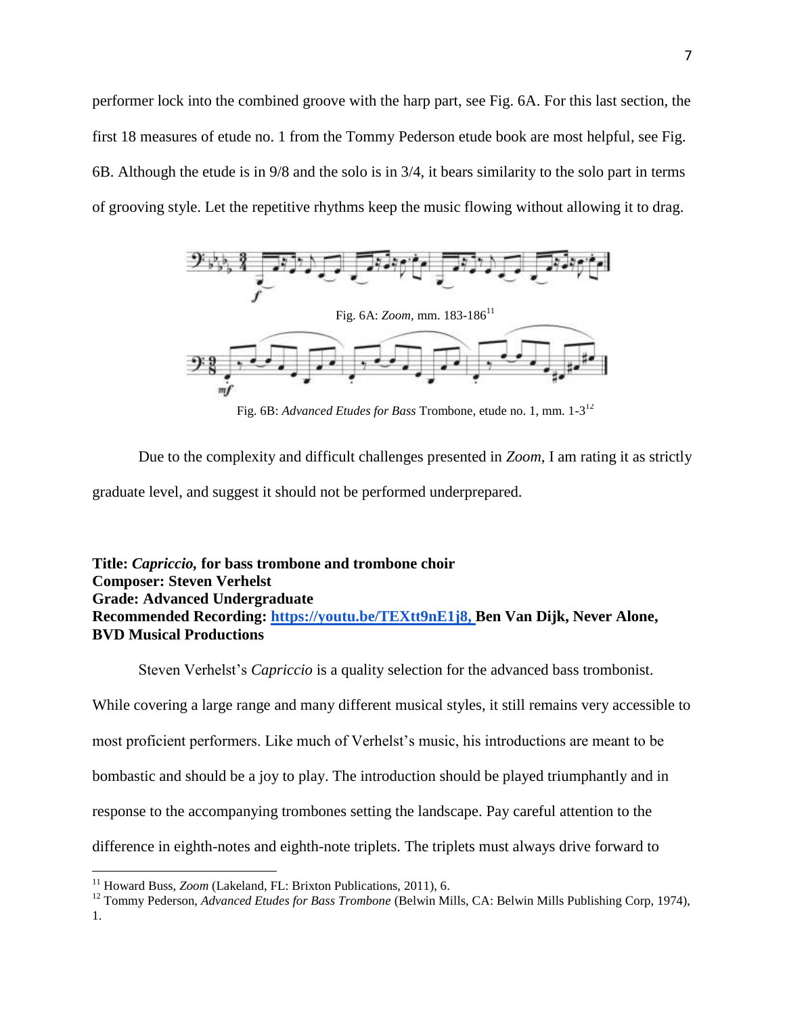performer lock into the combined groove with the harp part, see Fig. 6A. For this last section, the first 18 measures of etude no. 1 from the Tommy Pederson etude book are most helpful, see Fig. 6B. Although the etude is in 9/8 and the solo is in 3/4, it bears similarity to the solo part in terms of grooving style. Let the repetitive rhythms keep the music flowing without allowing it to drag.



Fig. 6B: *Advanced Etudes for Bass* Trombone, etude no. 1, mm. 1-3 12

Due to the complexity and difficult challenges presented in *Zoom*, I am rating it as strictly graduate level, and suggest it should not be performed underprepared.

### **Title:** *Capriccio,* **for bass trombone and trombone choir Composer: Steven Verhelst Grade: Advanced Undergraduate Recommended Recording: [https://youtu.be/TEXtt9nE1j8,](https://youtu.be/TEXtt9nE1j8) Ben Van Dijk, Never Alone, BVD Musical Productions**

Steven Verhelst's *Capriccio* is a quality selection for the advanced bass trombonist.

While covering a large range and many different musical styles, it still remains very accessible to most proficient performers. Like much of Verhelst's music, his introductions are meant to be bombastic and should be a joy to play. The introduction should be played triumphantly and in response to the accompanying trombones setting the landscape. Pay careful attention to the difference in eighth-notes and eighth-note triplets. The triplets must always drive forward to

 $\overline{a}$ <sup>11</sup> Howard Buss, *Zoom* (Lakeland, FL: Brixton Publications, 2011), 6.

<sup>12</sup> Tommy Pederson, *Advanced Etudes for Bass Trombone* (Belwin Mills, CA: Belwin Mills Publishing Corp, 1974), 1.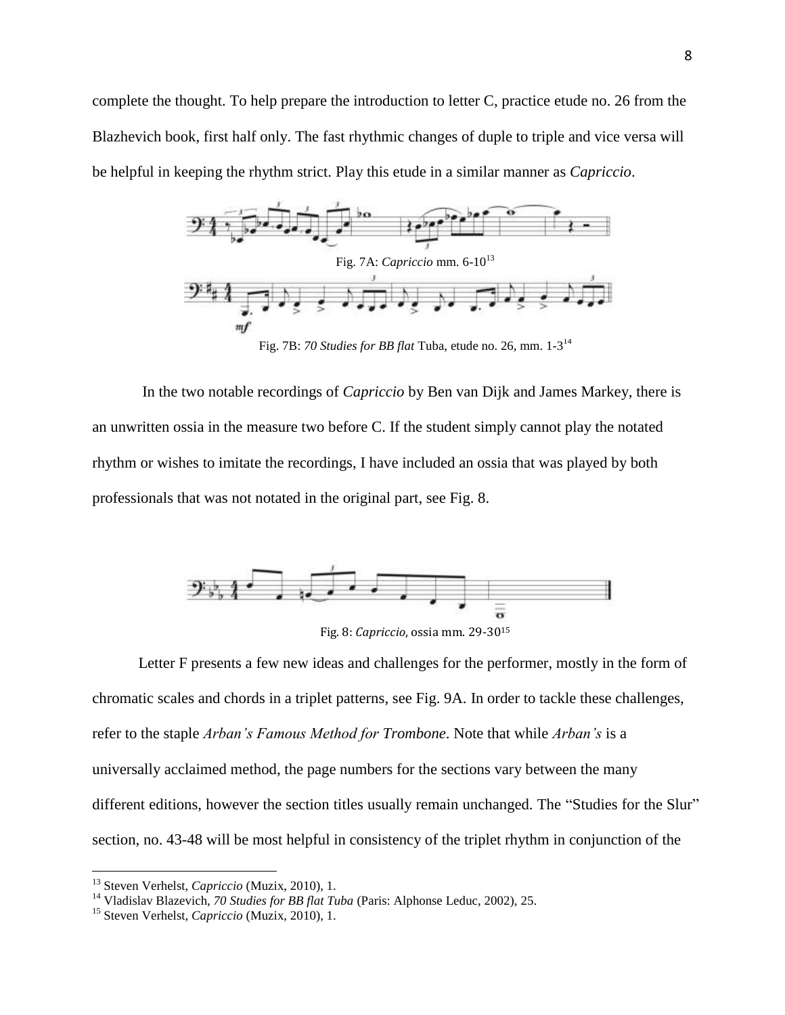complete the thought. To help prepare the introduction to letter C, practice etude no. 26 from the Blazhevich book, first half only. The fast rhythmic changes of duple to triple and vice versa will be helpful in keeping the rhythm strict. Play this etude in a similar manner as *Capriccio*.



In the two notable recordings of *Capriccio* by Ben van Dijk and James Markey, there is an unwritten ossia in the measure two before C. If the student simply cannot play the notated rhythm or wishes to imitate the recordings, I have included an ossia that was played by both professionals that was not notated in the original part, see Fig. 8.



Fig. 8: *Capriccio*, ossia mm. 29-30<sup>15</sup>

Letter F presents a few new ideas and challenges for the performer, mostly in the form of chromatic scales and chords in a triplet patterns, see Fig. 9A. In order to tackle these challenges, refer to the staple *Arban's Famous Method for Trombone*. Note that while *Arban's* is a universally acclaimed method, the page numbers for the sections vary between the many different editions, however the section titles usually remain unchanged. The "Studies for the Slur" section, no. 43-48 will be most helpful in consistency of the triplet rhythm in conjunction of the

<sup>13</sup> Steven Verhelst, *Capriccio* (Muzix, 2010), 1.

<sup>14</sup> Vladislav Blazevich, *70 Studies for BB flat Tuba* (Paris: Alphonse Leduc, 2002), 25.

<sup>15</sup> Steven Verhelst, *Capriccio* (Muzix, 2010), 1.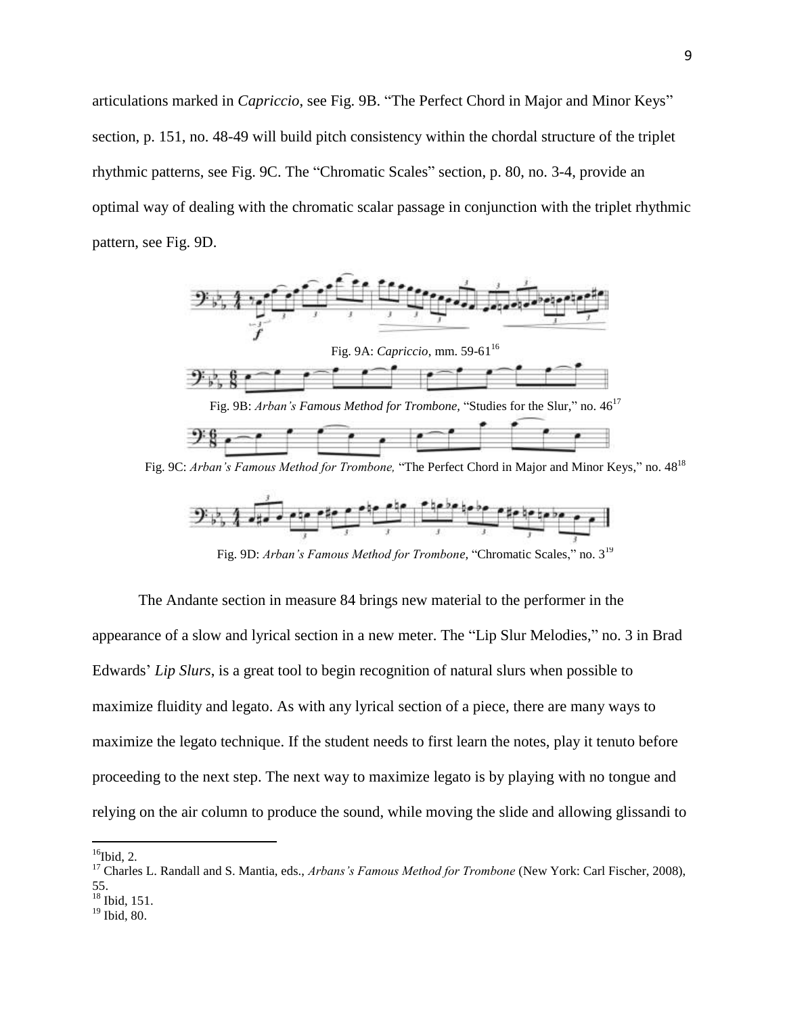articulations marked in *Capriccio*, see Fig. 9B. "The Perfect Chord in Major and Minor Keys" section, p. 151, no. 48-49 will build pitch consistency within the chordal structure of the triplet rhythmic patterns, see Fig. 9C. The "Chromatic Scales" section, p. 80, no. 3-4, provide an optimal way of dealing with the chromatic scalar passage in conjunction with the triplet rhythmic pattern, see Fig. 9D.



Fig. 9C: *Arban's Famous Method for Trombone,* "The Perfect Chord in Major and Minor Keys," no. 48<sup>18</sup>



Fig. 9D: *Arban's Famous Method for Trombone,* "Chromatic Scales," no. 3<sup>19</sup>

The Andante section in measure 84 brings new material to the performer in the appearance of a slow and lyrical section in a new meter. The "Lip Slur Melodies," no. 3 in Brad Edwards' *Lip Slurs*, is a great tool to begin recognition of natural slurs when possible to maximize fluidity and legato. As with any lyrical section of a piece, there are many ways to maximize the legato technique. If the student needs to first learn the notes, play it tenuto before proceeding to the next step. The next way to maximize legato is by playing with no tongue and relying on the air column to produce the sound, while moving the slide and allowing glissandi to

 $16$ Ibid, 2.

<sup>17</sup> Charles L. Randall and S. Mantia, eds., *Arbans's Famous Method for Trombone* (New York: Carl Fischer, 2008), 55.

 $18$  Ibid, 151.

<sup>19</sup> Ibid, 80.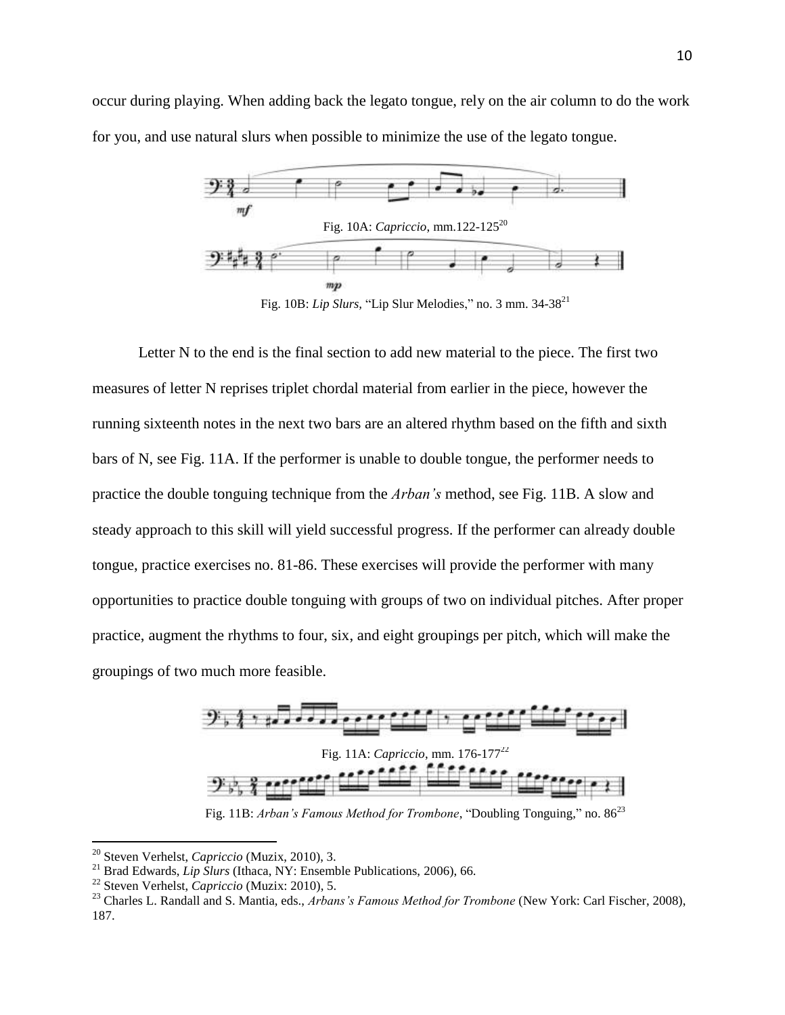occur during playing. When adding back the legato tongue, rely on the air column to do the work for you, and use natural slurs when possible to minimize the use of the legato tongue.



Fig. 10B: *Lip Slurs,* "Lip Slur Melodies," no. 3 mm. 34-38<sup>21</sup>

Letter N to the end is the final section to add new material to the piece. The first two measures of letter N reprises triplet chordal material from earlier in the piece, however the running sixteenth notes in the next two bars are an altered rhythm based on the fifth and sixth bars of N, see Fig. 11A. If the performer is unable to double tongue, the performer needs to practice the double tonguing technique from the *Arban's* method, see Fig. 11B. A slow and steady approach to this skill will yield successful progress. If the performer can already double tongue, practice exercises no. 81-86. These exercises will provide the performer with many opportunities to practice double tonguing with groups of two on individual pitches. After proper practice, augment the rhythms to four, six, and eight groupings per pitch, which will make the groupings of two much more feasible.



Fig. 11A: *Capriccio*, mm. 176-177<sup>22</sup>

Fig. 11B: *Arban's Famous Method for Trombone*, "Doubling Tonguing," no.  $86^{23}$ 

<sup>20</sup> Steven Verhelst, *Capriccio* (Muzix, 2010), 3.

<sup>&</sup>lt;sup>21</sup> Brad Edwards, *Lip Slurs* (Ithaca, NY: Ensemble Publications, 2006), 66.

<sup>22</sup> Steven Verhelst, *Capriccio* (Muzix: 2010), 5.

<sup>23</sup> Charles L. Randall and S. Mantia, eds., *Arbans's Famous Method for Trombone* (New York: Carl Fischer, 2008), 187.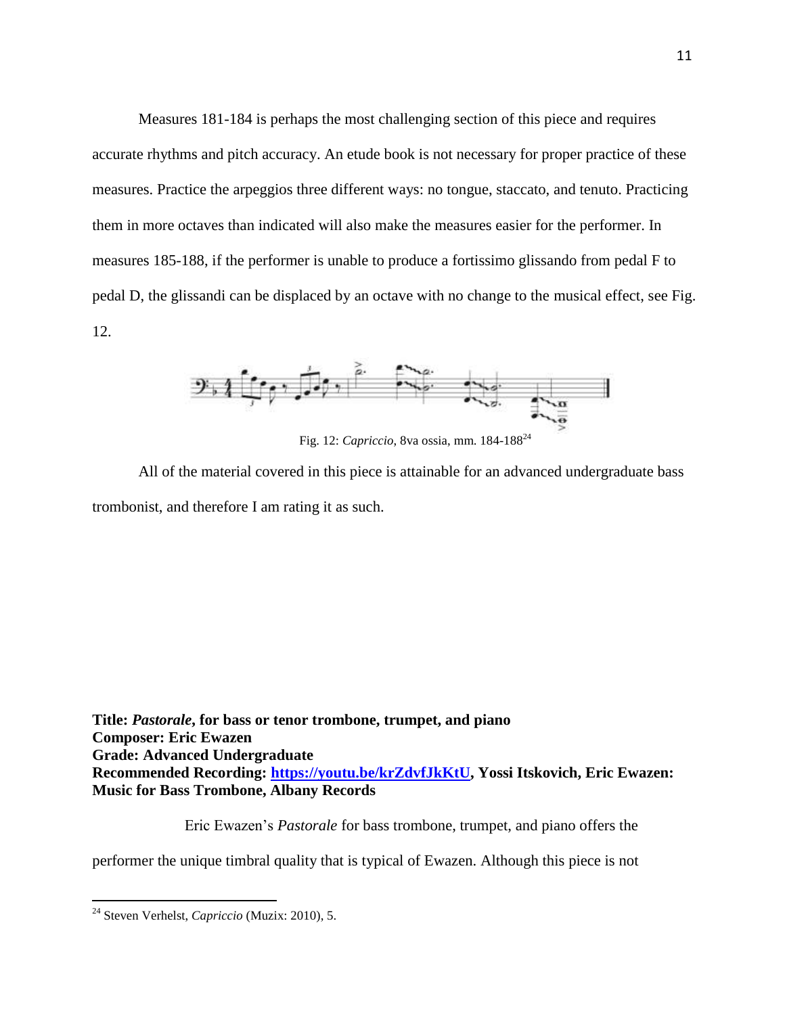Measures 181-184 is perhaps the most challenging section of this piece and requires accurate rhythms and pitch accuracy. An etude book is not necessary for proper practice of these measures. Practice the arpeggios three different ways: no tongue, staccato, and tenuto. Practicing them in more octaves than indicated will also make the measures easier for the performer. In measures 185-188, if the performer is unable to produce a fortissimo glissando from pedal F to pedal D, the glissandi can be displaced by an octave with no change to the musical effect, see Fig. 12.



Fig. 12: *Capriccio*, 8va ossia, mm. 184-188<sup>24</sup>

All of the material covered in this piece is attainable for an advanced undergraduate bass trombonist, and therefore I am rating it as such.

**Title:** *Pastorale***, for bass or tenor trombone, trumpet, and piano Composer: Eric Ewazen Grade: Advanced Undergraduate Recommended Recording: [https://youtu.be/krZdvfJkKtU,](https://youtu.be/krZdvfJkKtU) Yossi Itskovich, Eric Ewazen: Music for Bass Trombone, Albany Records**

Eric Ewazen's *Pastorale* for bass trombone, trumpet, and piano offers the

performer the unique timbral quality that is typical of Ewazen. Although this piece is not

<sup>24</sup> Steven Verhelst, *Capriccio* (Muzix: 2010), 5.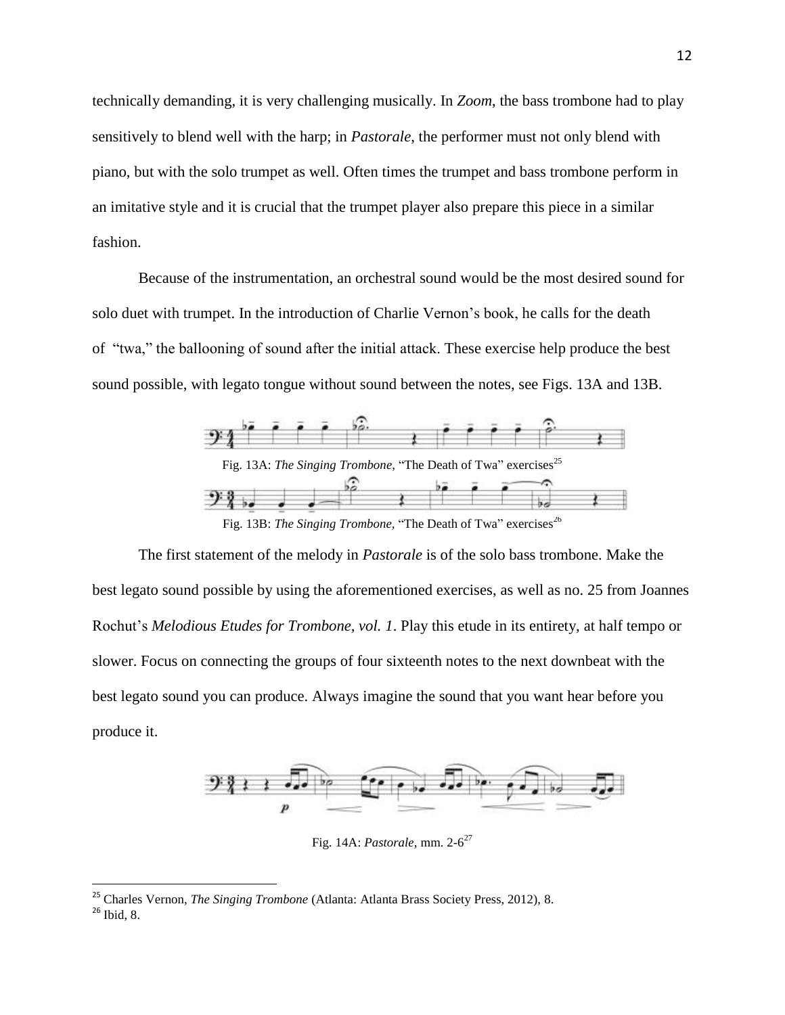technically demanding, it is very challenging musically. In *Zoom*, the bass trombone had to play sensitively to blend well with the harp; in *Pastorale*, the performer must not only blend with piano, but with the solo trumpet as well. Often times the trumpet and bass trombone perform in an imitative style and it is crucial that the trumpet player also prepare this piece in a similar fashion.

Because of the instrumentation, an orchestral sound would be the most desired sound for solo duet with trumpet. In the introduction of Charlie Vernon's book, he calls for the death of "twa," the ballooning of sound after the initial attack. These exercise help produce the best sound possible, with legato tongue without sound between the notes, see Figs. 13A and 13B.



Fig. 13B: *The Singing Trombone*, "The Death of Twa" exercises<sup>26</sup>

The first statement of the melody in *Pastorale* is of the solo bass trombone. Make the best legato sound possible by using the aforementioned exercises, as well as no. 25 from Joannes Rochut's *Melodious Etudes for Trombone, vol. 1*. Play this etude in its entirety, at half tempo or slower. Focus on connecting the groups of four sixteenth notes to the next downbeat with the best legato sound you can produce. Always imagine the sound that you want hear before you produce it.



Fig. 14A: *Pastorale,* mm. 2-6 27

<sup>25</sup> Charles Vernon, *The Singing Trombone* (Atlanta: Atlanta Brass Society Press, 2012), 8.

<sup>26</sup> Ibid, 8.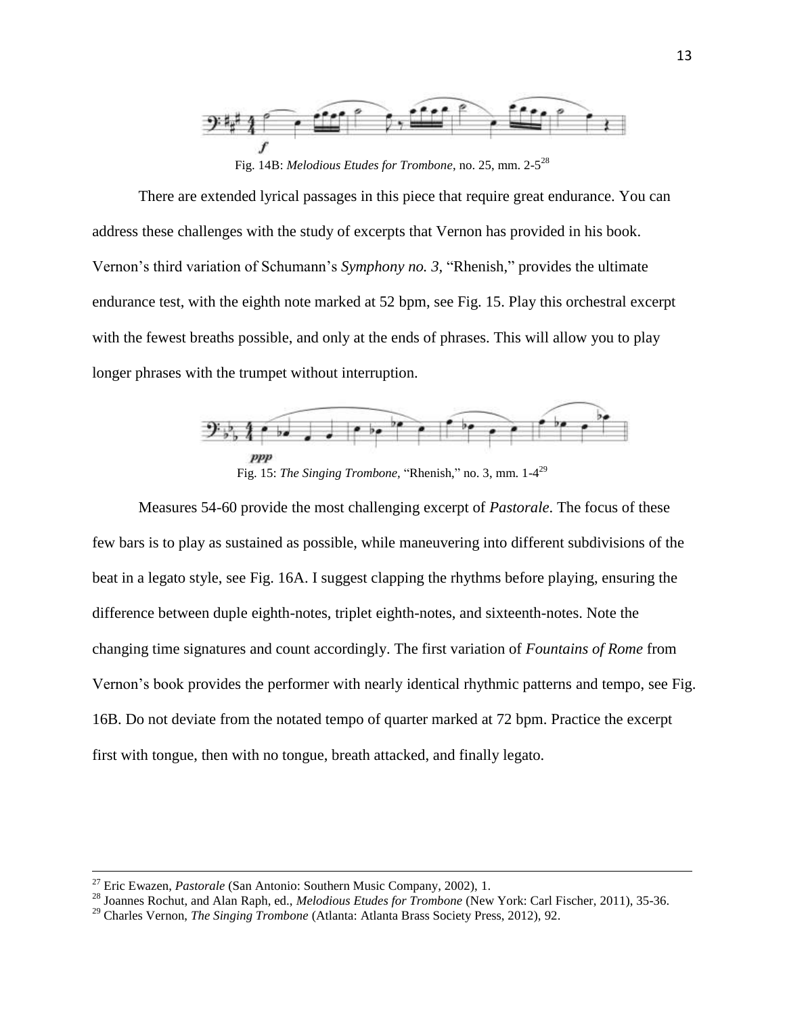

Fig. 14B: *Melodious Etudes for Trombone*, no. 25, mm. 2-5 28

There are extended lyrical passages in this piece that require great endurance. You can address these challenges with the study of excerpts that Vernon has provided in his book. Vernon's third variation of Schumann's *Symphony no. 3,* "Rhenish," provides the ultimate endurance test, with the eighth note marked at 52 bpm, see Fig. 15. Play this orchestral excerpt with the fewest breaths possible, and only at the ends of phrases. This will allow you to play longer phrases with the trumpet without interruption.



Fig. 15: *The Singing Trombone*, "Rhenish," no. 3, mm. 1-4<sup>29</sup>

Measures 54-60 provide the most challenging excerpt of *Pastorale*. The focus of these few bars is to play as sustained as possible, while maneuvering into different subdivisions of the beat in a legato style, see Fig. 16A. I suggest clapping the rhythms before playing, ensuring the difference between duple eighth-notes, triplet eighth-notes, and sixteenth-notes. Note the changing time signatures and count accordingly. The first variation of *Fountains of Rome* from Vernon's book provides the performer with nearly identical rhythmic patterns and tempo, see Fig. 16B. Do not deviate from the notated tempo of quarter marked at 72 bpm. Practice the excerpt first with tongue, then with no tongue, breath attacked, and finally legato.

<sup>27</sup> Eric Ewazen, *Pastorale* (San Antonio: Southern Music Company, 2002), 1.

<sup>28</sup> Joannes Rochut, and Alan Raph, ed., *Melodious Etudes for Trombone* (New York: Carl Fischer, 2011), 35-36.

<sup>29</sup> Charles Vernon, *The Singing Trombone* (Atlanta: Atlanta Brass Society Press, 2012), 92.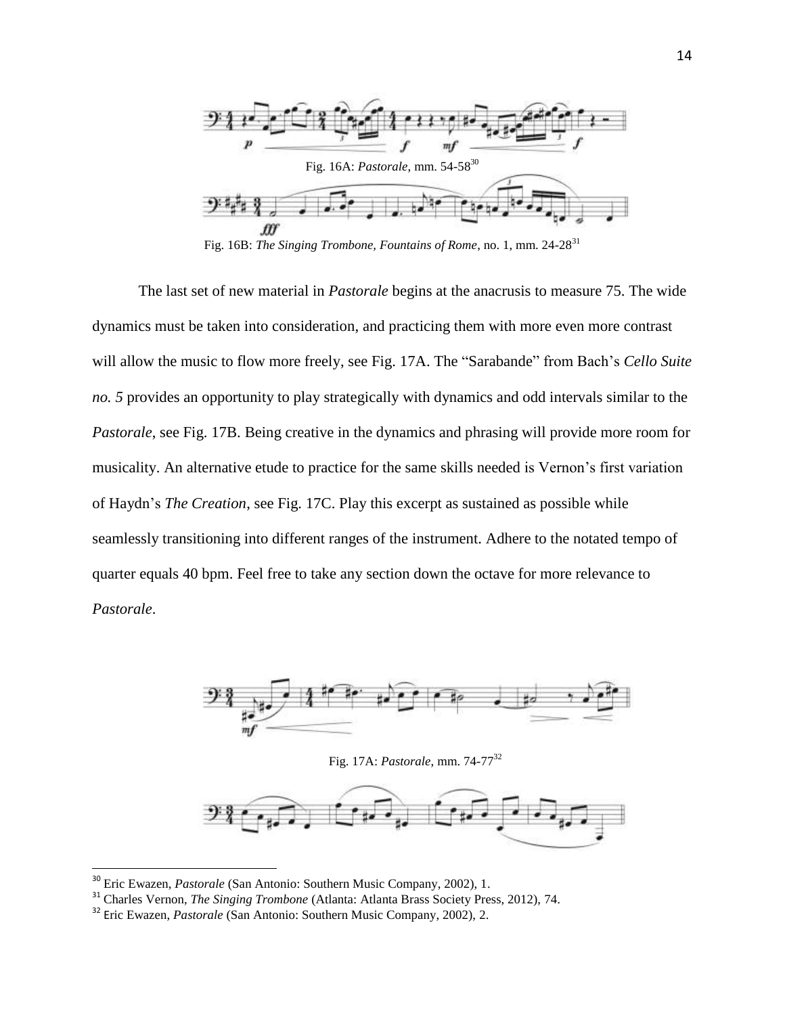

Fig. 16B: *The Singing Trombone, Fountains of Rome*, no. 1, mm. 24-28<sup>31</sup>

The last set of new material in *Pastorale* begins at the anacrusis to measure 75. The wide dynamics must be taken into consideration, and practicing them with more even more contrast will allow the music to flow more freely, see Fig. 17A. The "Sarabande" from Bach's *Cello Suite no. 5* provides an opportunity to play strategically with dynamics and odd intervals similar to the *Pastorale*, see Fig. 17B. Being creative in the dynamics and phrasing will provide more room for musicality. An alternative etude to practice for the same skills needed is Vernon's first variation of Haydn's *The Creation*, see Fig. 17C. Play this excerpt as sustained as possible while seamlessly transitioning into different ranges of the instrument. Adhere to the notated tempo of quarter equals 40 bpm. Feel free to take any section down the octave for more relevance to *Pastorale*.



Fig. 17A: *Pastorale*, mm. 74-77<sup>32</sup>



<sup>30</sup> Eric Ewazen, *Pastorale* (San Antonio: Southern Music Company, 2002), 1.

<sup>31</sup> Charles Vernon, *The Singing Trombone* (Atlanta: Atlanta Brass Society Press, 2012), 74.

<sup>32</sup> Eric Ewazen, *Pastorale* (San Antonio: Southern Music Company, 2002), 2.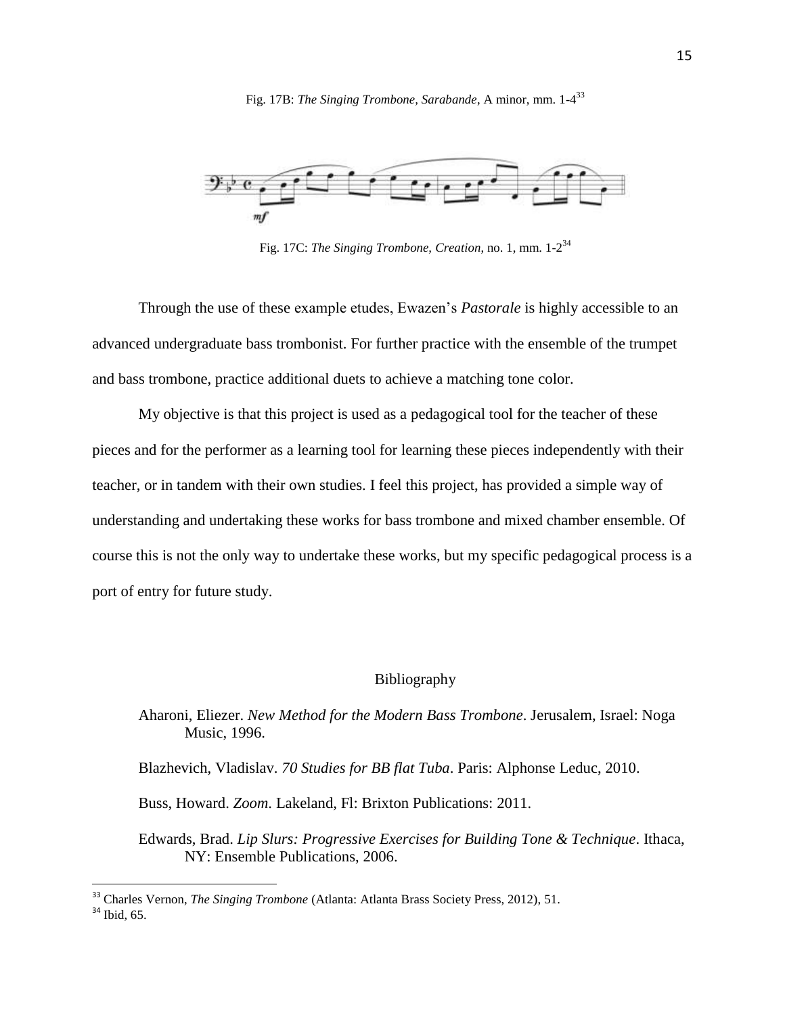Fig. 17B: *The Singing Trombone, Sarabande*, A minor, mm. 1-4 33



Fig. 17C: *The Singing Trombone, Creation*, no. 1, mm. 1-2 34

Through the use of these example etudes, Ewazen's *Pastorale* is highly accessible to an advanced undergraduate bass trombonist. For further practice with the ensemble of the trumpet and bass trombone, practice additional duets to achieve a matching tone color.

My objective is that this project is used as a pedagogical tool for the teacher of these pieces and for the performer as a learning tool for learning these pieces independently with their teacher, or in tandem with their own studies. I feel this project, has provided a simple way of understanding and undertaking these works for bass trombone and mixed chamber ensemble. Of course this is not the only way to undertake these works, but my specific pedagogical process is a port of entry for future study.

### Bibliography

Aharoni, Eliezer. *New Method for the Modern Bass Trombone*. Jerusalem, Israel: Noga Music, 1996.

Blazhevich, Vladislav. *70 Studies for BB flat Tuba*. Paris: Alphonse Leduc, 2010.

Buss, Howard. *Zoom*. Lakeland, Fl: Brixton Publications: 2011.

Edwards, Brad. *Lip Slurs: Progressive Exercises for Building Tone & Technique*. Ithaca, NY: Ensemble Publications, 2006.

<sup>33</sup> Charles Vernon, *The Singing Trombone* (Atlanta: Atlanta Brass Society Press, 2012), 51.

<sup>&</sup>lt;sup>34</sup> Ibid, 65.